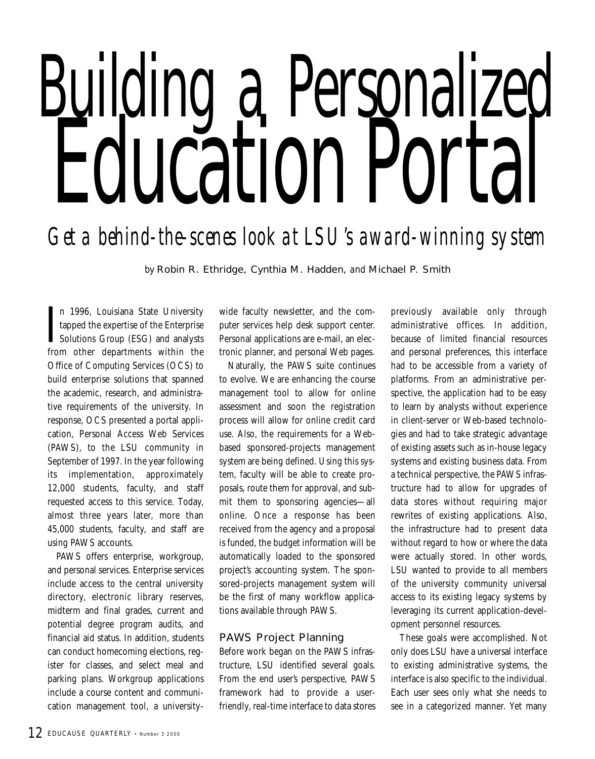# Building a Personalized Education Portal

## *Get a behind-the-scenes look at LSU's award-winning system*

by Robin R. Ethridge, Cynthia M. Hadden, and Michael P. Smith

I n 1996, Louisiana State University tapped the expertise of the Enterprise Solutions Group (ESG) and analysts from other departments within the Office of Computing Services (OCS) to build enterprise solutions that spanned the academic, research, and administrative requirements of the university. In response, OCS presented a portal application, Personal Access Web Services (PAWS), to the LSU community in September of 1997. In the year following its implementation, approximately 12,000 students, faculty, and staff requested access to this service. Today, almost three years later, more than 45,000 students, faculty, and staff are using PAWS accounts.

PAWS offers enterprise, workgroup, and personal services. Enterprise services include access to the central university directory, electronic library reserves, midterm and final grades, current and potential degree program audits, and financial aid status. In addition, students can conduct homecoming elections, register for classes, and select meal and parking plans. Workgroup applications include a course content and communication management tool, a universitywide faculty newsletter, and the computer services help desk support center. Personal applications are e-mail, an electronic planner, and personal Web pages.

Naturally, the PAWS suite continues to evolve. We are enhancing the course management tool to allow for online assessment and soon the registration process will allow for online credit card use. Also, the requirements for a Webbased sponsored-projects management system are being defined. Using this system, faculty will be able to create proposals, route them for approval, and submit them to sponsoring agencies—all online. Once a response has been received from the agency and a proposal is funded, the budget information will be automatically loaded to the sponsored project's accounting system. The sponsored-projects management system will be the first of many workflow applications available through PAWS.

#### PAWS Project Planning

Before work began on the PAWS infrastructure, LSU identified several goals. From the end user's perspective, PAWS framework had to provide a userfriendly, real-time interface to data stores previously available only through administrative offices. In addition, because of limited financial resources and personal preferences, this interface had to be accessible from a variety of platforms. From an administrative perspective, the application had to be easy to learn by analysts without experience in client-server or Web-based technologies and had to take strategic advantage of existing assets such as in-house legacy systems and existing business data. From a technical perspective, the PAWS infrastructure had to allow for upgrades of data stores without requiring major rewrites of existing applications. Also, the infrastructure had to present data without regard to how or where the data were actually stored. In other words, LSU wanted to provide to all members of the university community universal access to its existing legacy systems by leveraging its current application-development personnel resources.

These goals were accomplished. Not only does LSU have a universal interface to existing administrative systems, the interface is also specific to the individual. Each user sees only what she needs to see in a categorized manner. Yet many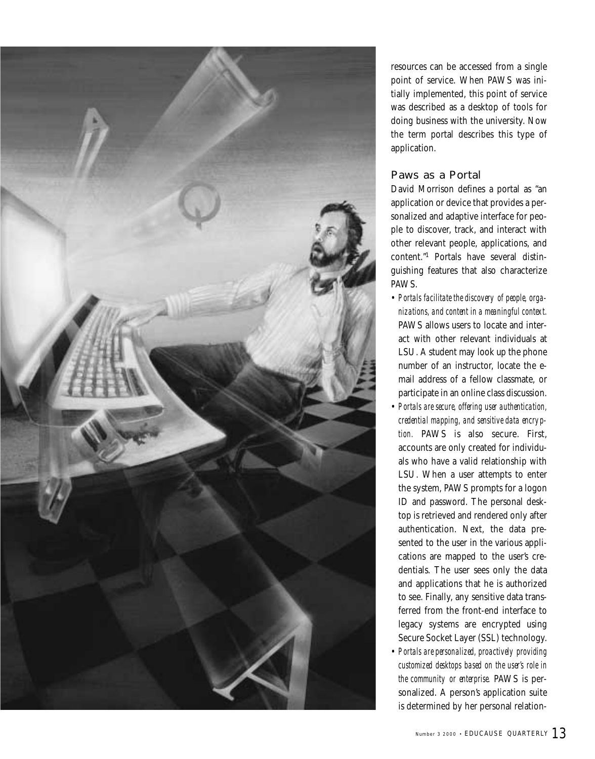

resources can be accessed from a single point of service. When PAWS was initially implemented, this point of service was described as a desktop of tools for doing business with the university. Now the term portal describes this type of application.

#### Paws as a Portal

David Morrison defines a portal as "an application or device that provides a personalized and adaptive interface for people to discover, track, and interact with other relevant people, applications, and content."1 Portals have several distinguishing features that also characterize PAWS.

- *Portals facilitate the discovery of people, organizations, and content in a meaningful context.* PAWS allows users to locate and interact with other relevant individuals at LSU. A student may look up the phone number of an instructor, locate the email address of a fellow classmate, or participate in an online class discussion.
- *Portals are secure, offering user authentication, credential mapping, and sensitive data encryption.* PAWS is also secure. First, accounts are only created for individuals who have a valid relationship with LSU. When a user attempts to enter the system, PAWS prompts for a logon ID and password. The personal desktop is retrieved and rendered only after authentication. Next, the data presented to the user in the various applications are mapped to the user's credentials. The user sees only the data and applications that he is authorized to see. Finally, any sensitive data transferred from the front-end interface to legacy systems are encrypted using Secure Socket Layer (SSL) technology.
- *Portals are personalized, proactively providing customized desktops based on the user's role in the community or enterprise.* PAWS is personalized. A person's application suite is determined by her personal relation-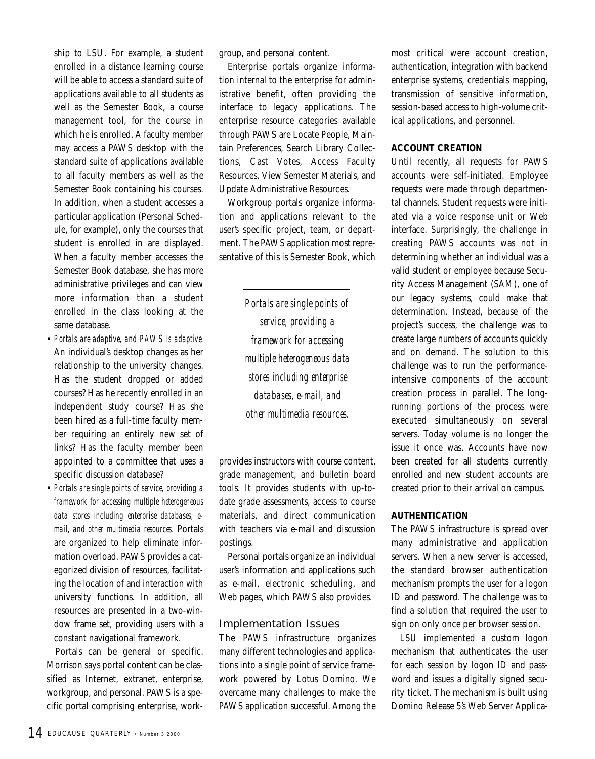ship to LSU. For example, a student enrolled in a distance learning course will be able to access a standard suite of applications available to all students as well as the Semester Book, a course management tool, for the course in which he is enrolled. A faculty member may access a PAWS desktop with the standard suite of applications available to all faculty members as well as the Semester Book containing his courses. In addition, when a student accesses a particular application (Personal Schedule, for example), only the courses that student is enrolled in are displayed. When a faculty member accesses the Semester Book database, she has more administrative privileges and can view more information than a student enrolled in the class looking at the same database.

- *Portals are adaptive, and PAWS is adaptive.* An individual's desktop changes as her relationship to the university changes. Has the student dropped or added courses? Has he recently enrolled in an independent study course? Has she been hired as a full-time faculty member requiring an entirely new set of links? Has the faculty member been appointed to a committee that uses a specific discussion database?
- *Portals are single points of service, providing a framework for accessing multiple heterogeneous data stores including enterprise databases, email, and other multimedia resources.* Portals are organized to help eliminate information overload. PAWS provides a categorized division of resources, facilitating the location of and interaction with university functions. In addition, all resources are presented in a two-window frame set, providing users with a constant navigational framework.

Portals can be general or specific. Morrison says portal content can be classified as Internet, extranet, enterprise, workgroup, and personal. PAWS is a specific portal comprising enterprise, workgroup, and personal content.

Enterprise portals organize information internal to the enterprise for administrative benefit, often providing the interface to legacy applications. The enterprise resource categories available through PAWS are Locate People, Maintain Preferences, Search Library Collections, Cast Votes, Access Faculty Resources, View Semester Materials, and Update Administrative Resources.

Workgroup portals organize information and applications relevant to the user's specific project, team, or department. The PAWS application most representative of this is Semester Book, which

> *Portals are single points of service, providing a framework for accessing multiple heterogeneous data stores including enterprise databases, e-mail, and other multimedia resources.*

provides instructors with course content, grade management, and bulletin board tools. It provides students with up-todate grade assessments, access to course materials, and direct communication with teachers via e-mail and discussion postings.

Personal portals organize an individual user's information and applications such as e-mail, electronic scheduling, and Web pages, which PAWS also provides.

#### Implementation Issues

The PAWS infrastructure organizes many different technologies and applications into a single point of service framework powered by Lotus Domino. We overcame many challenges to make the PAWS application successful. Among the most critical were account creation, authentication, integration with backend enterprise systems, credentials mapping, transmission of sensitive information, session-based access to high-volume critical applications, and personnel.

#### **ACCOUNT CREATION**

Until recently, all requests for PAWS accounts were self-initiated. Employee requests were made through departmental channels. Student requests were initiated via a voice response unit or Web interface. Surprisingly, the challenge in creating PAWS accounts was not in determining whether an individual was a valid student or employee because Security Access Management (SAM), one of our legacy systems, could make that determination. Instead, because of the project's success, the challenge was to create large numbers of accounts quickly and on demand. The solution to this challenge was to run the performanceintensive components of the account creation process in parallel. The longrunning portions of the process were executed simultaneously on several servers. Today volume is no longer the issue it once was. Accounts have now been created for all students currently enrolled and new student accounts are created prior to their arrival on campus.

#### **AUTHENTICATION**

The PAWS infrastructure is spread over many administrative and application servers. When a new server is accessed, the standard browser authentication mechanism prompts the user for a logon ID and password. The challenge was to find a solution that required the user to sign on only once per browser session.

LSU implemented a custom logon mechanism that authenticates the user for each session by logon ID and password and issues a digitally signed security ticket. The mechanism is built using Domino Release 5's Web Server Applica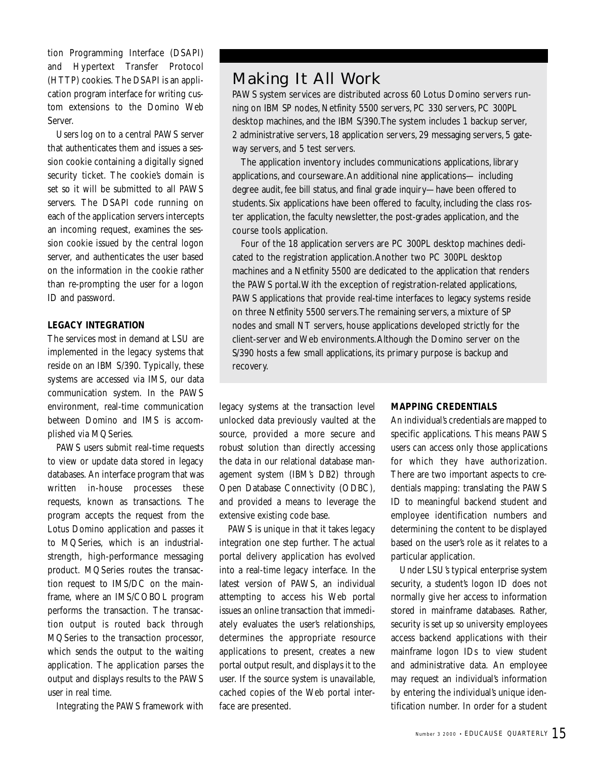tion Programming Interface (DSAPI) and Hypertext Transfer Protocol (HTTP) cookies. The DSAPI is an application program interface for writing custom extensions to the Domino Web Server.

Users log on to a central PAWS server that authenticates them and issues a session cookie containing a digitally signed security ticket. The cookie's domain is set so it will be submitted to all PAWS servers. The DSAPI code running on each of the application servers intercepts an incoming request, examines the session cookie issued by the central logon server, and authenticates the user based on the information in the cookie rather than re-prompting the user for a logon ID and password.

#### **LEGACY INTEGRATION**

The services most in demand at LSU are implemented in the legacy systems that reside on an IBM S/390. Typically, these systems are accessed via IMS, our data communication system. In the PAWS environment, real-time communication between Domino and IMS is accomplished via MQSeries.

PAWS users submit real-time requests to view or update data stored in legacy databases. An interface program that was written in-house processes these requests, known as transactions. The program accepts the request from the Lotus Domino application and passes it to MQSeries, which is an industrialstrength, high-performance messaging product. MQSeries routes the transaction request to IMS/DC on the mainframe, where an IMS/COBOL program performs the transaction. The transaction output is routed back through MQSeries to the transaction processor, which sends the output to the waiting application. The application parses the output and displays results to the PAWS user in real time.

Integrating the PAWS framework with

### Making It All Work

PAWS system services are distributed across 60 Lotus Domino servers running on IBM SP nodes, Netfinity 5500 servers, PC 330 servers, PC 300PL desktop machines, and the IBM S/390.The system includes 1 backup server, 2 administrative servers, 18 application servers, 29 messaging servers, 5 gateway servers, and 5 test servers.

The application inventory includes communications applications, library applications, and courseware.An additional nine applications— including degree audit, fee bill status, and final grade inquiry—have been offered to students. Six applications have been offered to faculty, including the class roster application, the faculty newsletter, the post-grades application, and the course tools application.

Four of the 18 application servers are PC 300PL desktop machines dedicated to the registration application.Another two PC 300PL desktop machines and a Netfinity 5500 are dedicated to the application that renders the PAWS portal.With the exception of registration-related applications, PAWS applications that provide real-time interfaces to legacy systems reside on three Netfinity 5500 servers.The remaining servers, a mixture of SP nodes and small NT servers, house applications developed strictly for the client-server and Web environments.Although the Domino server on the S/390 hosts a few small applications, its primary purpose is backup and recovery.

legacy systems at the transaction level unlocked data previously vaulted at the source, provided a more secure and robust solution than directly accessing the data in our relational database management system (IBM's DB2) through Open Database Connectivity (ODBC), and provided a means to leverage the extensive existing code base.

PAWS is unique in that it takes legacy integration one step further. The actual portal delivery application has evolved into a real-time legacy interface. In the latest version of PAWS, an individual attempting to access his Web portal issues an online transaction that immediately evaluates the user's relationships, determines the appropriate resource applications to present, creates a new portal output result, and displays it to the user. If the source system is unavailable, cached copies of the Web portal interface are presented.

#### **MAPPING CREDENTIALS**

An individual's credentials are mapped to specific applications. This means PAWS users can access only those applications for which they have authorization. There are two important aspects to credentials mapping: translating the PAWS ID to meaningful backend student and employee identification numbers and determining the content to be displayed based on the user's role as it relates to a particular application.

Under LSU's typical enterprise system security, a student's logon ID does not normally give her access to information stored in mainframe databases. Rather, security is set up so university employees access backend applications with their mainframe logon IDs to view student and administrative data. An employee may request an individual's information by entering the individual's unique identification number. In order for a student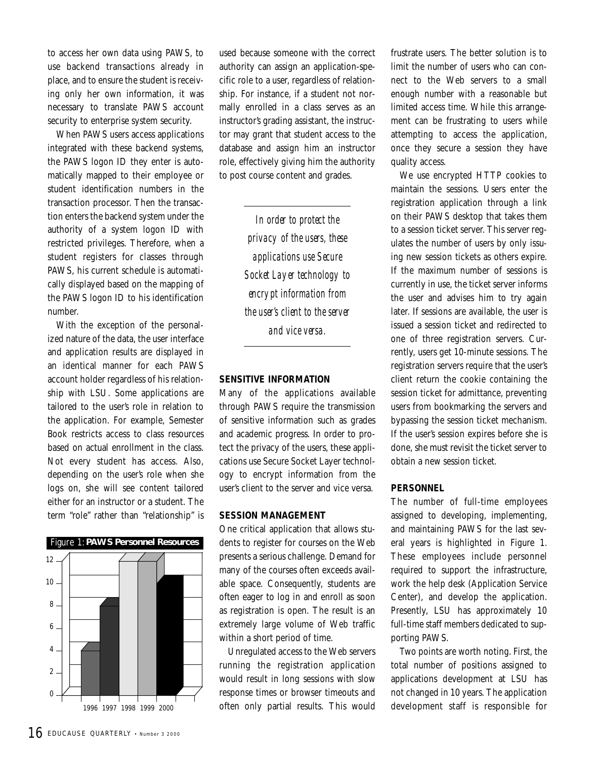to access her own data using PAWS, to use backend transactions already in place, and to ensure the student is receiving only her own information, it was necessary to translate PAWS account security to enterprise system security.

When PAWS users access applications integrated with these backend systems, the PAWS logon ID they enter is automatically mapped to their employee or student identification numbers in the transaction processor. Then the transaction enters the backend system under the authority of a system logon ID with restricted privileges. Therefore, when a student registers for classes through PAWS, his current schedule is automatically displayed based on the mapping of the PAWS logon ID to his identification number.

With the exception of the personalized nature of the data, the user interface and application results are displayed in an identical manner for each PAWS account holder regardless of his relationship with LSU. Some applications are tailored to the user's role in relation to the application. For example, Semester Book restricts access to class resources based on actual enrollment in the class. Not every student has access. Also, depending on the user's role when she logs on, she will see content tailored either for an instructor or a student. The term "role" rather than "relationship" is



used because someone with the correct authority can assign an application-specific role to a user, regardless of relationship. For instance, if a student not normally enrolled in a class serves as an instructor's grading assistant, the instructor may grant that student access to the database and assign him an instructor role, effectively giving him the authority to post course content and grades.

> *In order to protect the privacy of the users, these applications use Secure Socket Layer technology to encrypt information from the user's client to the server and vice versa.*

#### **SENSITIVE INFORMATION**

Many of the applications available through PAWS require the transmission of sensitive information such as grades and academic progress. In order to protect the privacy of the users, these applications use Secure Socket Layer technology to encrypt information from the user's client to the server and vice versa.

#### **SESSION MANAGEMENT**

One critical application that allows students to register for courses on the Web presents a serious challenge. Demand for many of the courses often exceeds available space. Consequently, students are often eager to log in and enroll as soon as registration is open. The result is an extremely large volume of Web traffic within a short period of time.

Unregulated access to the Web servers running the registration application would result in long sessions with slow response times or browser timeouts and often only partial results. This would frustrate users. The better solution is to limit the number of users who can connect to the Web servers to a small enough number with a reasonable but limited access time. While this arrangement can be frustrating to users while attempting to access the application, once they secure a session they have quality access.

We use encrypted HTTP cookies to maintain the sessions. Users enter the registration application through a link on their PAWS desktop that takes them to a session ticket server. This server regulates the number of users by only issuing new session tickets as others expire. If the maximum number of sessions is currently in use, the ticket server informs the user and advises him to try again later. If sessions are available, the user is issued a session ticket and redirected to one of three registration servers. Currently, users get 10-minute sessions. The registration servers require that the user's client return the cookie containing the session ticket for admittance, preventing users from bookmarking the servers and bypassing the session ticket mechanism. If the user's session expires before she is done, she must revisit the ticket server to obtain a new session ticket.

#### **PERSONNEL**

The number of full-time employees assigned to developing, implementing, and maintaining PAWS for the last several years is highlighted in Figure 1. These employees include personnel required to support the infrastructure, work the help desk (Application Service Center), and develop the application. Presently, LSU has approximately 10 full-time staff members dedicated to supporting PAWS.

Two points are worth noting. First, the total number of positions assigned to applications development at LSU has not changed in 10 years. The application development staff is responsible for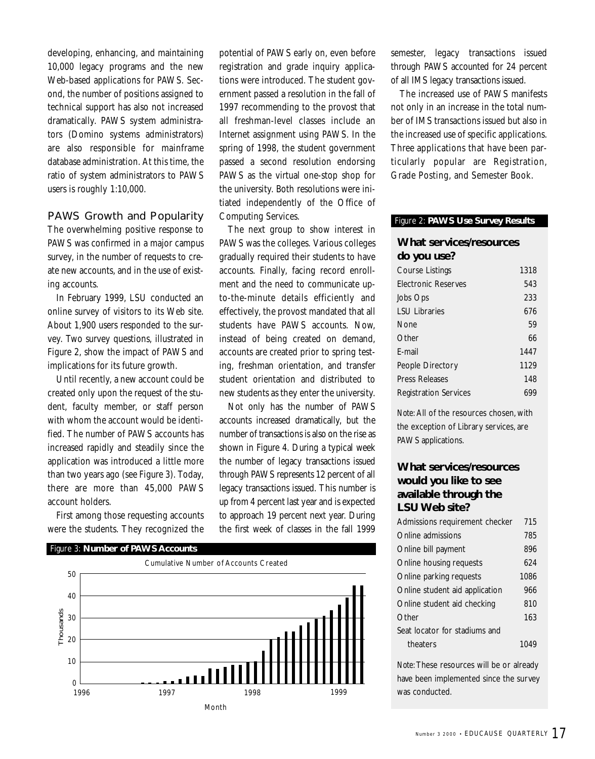developing, enhancing, and maintaining 10,000 legacy programs and the new Web-based applications for PAWS. Second, the number of positions assigned to technical support has also not increased dramatically. PAWS system administrators (Domino systems administrators) are also responsible for mainframe database administration. At this time, the ratio of system administrators to PAWS users is roughly 1:10,000.

#### PAWS Growth and Popularity

The overwhelming positive response to PAWS was confirmed in a major campus survey, in the number of requests to create new accounts, and in the use of existing accounts.

In February 1999, LSU conducted an online survey of visitors to its Web site. About 1,900 users responded to the survey. Two survey questions, illustrated in Figure 2, show the impact of PAWS and implications for its future growth.

Until recently, a new account could be created only upon the request of the student, faculty member, or staff person with whom the account would be identified. The number of PAWS accounts has increased rapidly and steadily since the application was introduced a little more than two years ago (see Figure 3). Today, there are more than 45,000 PAWS account holders.

First among those requesting accounts were the students. They recognized the potential of PAWS early on, even before registration and grade inquiry applications were introduced. The student government passed a resolution in the fall of 1997 recommending to the provost that all freshman-level classes include an Internet assignment using PAWS. In the spring of 1998, the student government passed a second resolution endorsing PAWS as the virtual one-stop shop for the university. Both resolutions were initiated independently of the Office of Computing Services.

The next group to show interest in PAWS was the colleges. Various colleges gradually required their students to have accounts. Finally, facing record enrollment and the need to communicate upto-the-minute details efficiently and effectively, the provost mandated that all students have PAWS accounts. Now, instead of being created on demand, accounts are created prior to spring testing, freshman orientation, and transfer student orientation and distributed to new students as they enter the university.

Not only has the number of PAWS accounts increased dramatically, but the number of transactions is also on the rise as shown in Figure 4. During a typical week the number of legacy transactions issued through PAWS represents 12 percent of all legacy transactions issued. This number is up from 4 percent last year and is expected to approach 19 percent next year. During the first week of classes in the fall 1999



semester, legacy transactions issued through PAWS accounted for 24 percent of all IMS legacy transactions issued.

The increased use of PAWS manifests not only in an increase in the total number of IMS transactions issued but also in the increased use of specific applications. Three applications that have been particularly popular are Registration, Grade Posting, and Semester Book.

| Figure 2: PAWS Use Survey Results |      |  |
|-----------------------------------|------|--|
| <b>What services/resources</b>    |      |  |
| do you use?                       |      |  |
| <b>Course Listings</b>            | 1318 |  |
| Electronic Reserves               | 543  |  |
| Jobs Ops                          | 233  |  |
| I SU Libraries                    | 676  |  |
| None                              | 59   |  |
| Other                             | 66   |  |
| F-mail                            | 1447 |  |
| People Directory                  | 1129 |  |
| Press Releases                    | 148  |  |
| <b>Registration Services</b>      | 699  |  |

*Note:* All of the resources chosen, with the exception of Library services, are PAWS applications.

#### **What services/resources would you like to see available through the LSU Web site?**

| Admissions requirement checker | 715  |
|--------------------------------|------|
| Online admissions              | 785  |
| Online bill payment            | 896  |
| Online housing requests        | 624  |
| Online parking requests        | 1086 |
| Online student aid application | 966  |
| Online student aid checking    | 810  |
| Other                          | 163  |
| Seat locator for stadiums and  |      |
| theaters                       |      |

*Note:* These resources will be or already have been implemented since the survey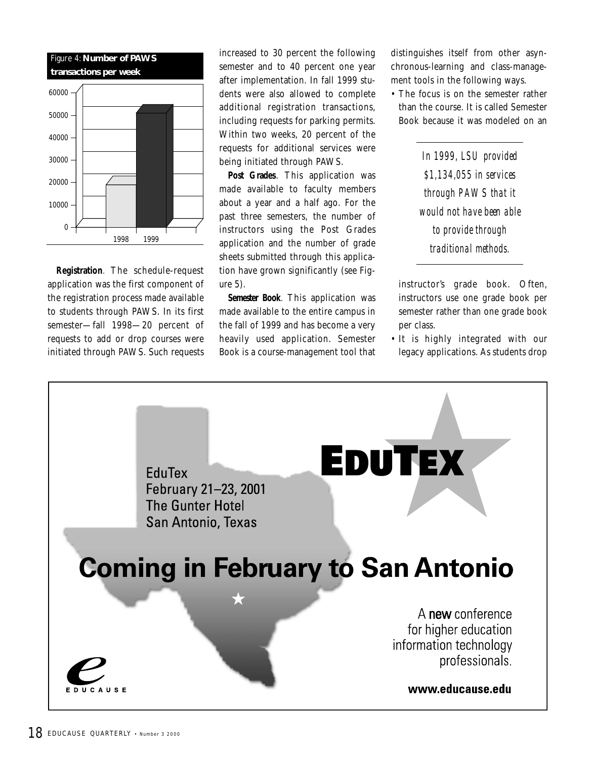

**Registration***.* The schedule-request application was the first component of the registration process made available to students through PAWS. In its first semester—fall 1998—20 percent of requests to add or drop courses were initiated through PAWS. Such requests

increased to 30 percent the following semester and to 40 percent one year after implementation. In fall 1999 students were also allowed to complete additional registration transactions, including requests for parking permits. Within two weeks, 20 percent of the requests for additional services were being initiated through PAWS.

**Post Grades**. This application was made available to faculty members about a year and a half ago. For the past three semesters, the number of instructors using the Post Grades application and the number of grade sheets submitted through this application have grown significantly (see Figure 5).

**Semester Book***.* This application was made available to the entire campus in the fall of 1999 and has become a very heavily used application. Semester Book is a course-management tool that distinguishes itself from other asynchronous-learning and class-management tools in the following ways.

• The focus is on the semester rather than the course. It is called Semester Book because it was modeled on an

> *In 1999, LSU provided \$1,134,055 in services through PAWS that it would not have been able to provide through traditional methods.*

instructor's grade book. Often, instructors use one grade book per semester rather than one grade book per class.

• It is highly integrated with our legacy applications. As students drop